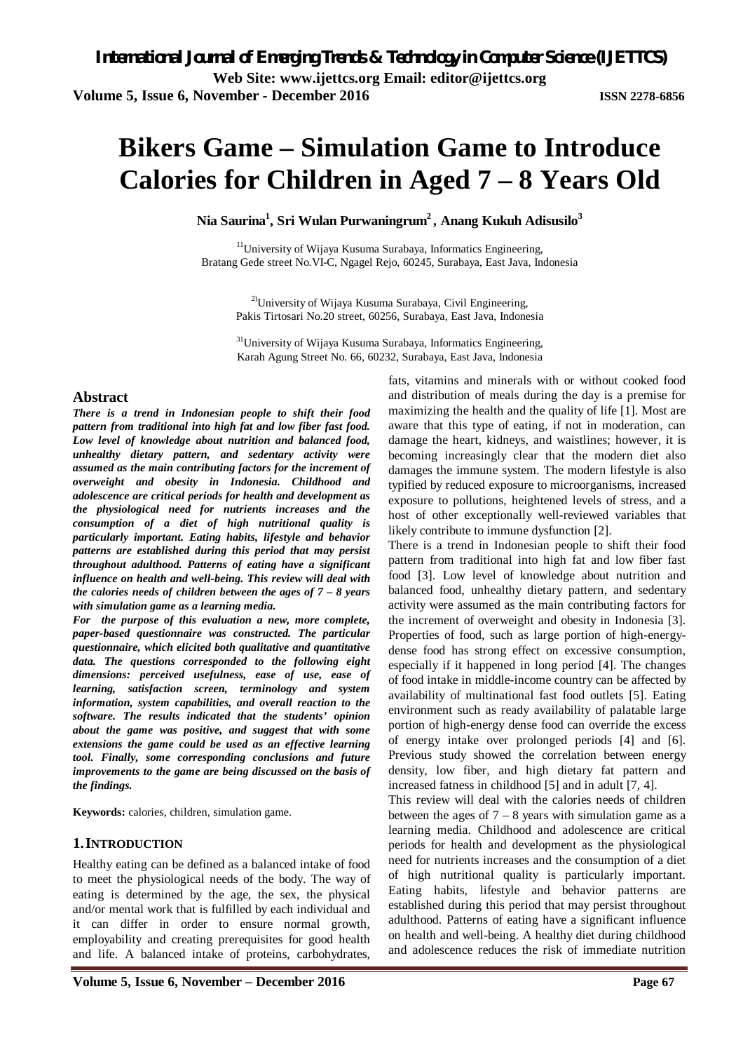# **Bikers Game – Simulation Game to Introduce Calories for Children in Aged 7 – 8 Years Old**

**Nia Saurina<sup>1</sup> , Sri Wulan Purwaningrum<sup>2</sup> , Anang Kukuh Adisusilo<sup>3</sup>**

<sup>11</sup>University of Wijaya Kusuma Surabaya, Informatics Engineering, Bratang Gede street No.VI-C, Ngagel Rejo, 60245, Surabaya, East Java, Indonesia

<sup>2)</sup>University of Wijaya Kusuma Surabaya, Civil Engineering, Pakis Tirtosari No.20 street, 60256, Surabaya, East Java, Indonesia

<sup>31</sup>University of Wijaya Kusuma Surabaya, Informatics Engineering, Karah Agung Street No. 66, 60232, Surabaya, East Java, Indonesia

# **Abstract**

*There is a trend in Indonesian people to shift their food pattern from traditional into high fat and low fiber fast food. Low level of knowledge about nutrition and balanced food, unhealthy dietary pattern, and sedentary activity were assumed as the main contributing factors for the increment of overweight and obesity in Indonesia. Childhood and adolescence are critical periods for health and development as the physiological need for nutrients increases and the consumption of a diet of high nutritional quality is particularly important. Eating habits, lifestyle and behavior patterns are established during this period that may persist throughout adulthood. Patterns of eating have a significant influence on health and well-being. This review will deal with the calories needs of children between the ages of 7 – 8 years with simulation game as a learning media.* 

*For the purpose of this evaluation a new, more complete, paper-based questionnaire was constructed. The particular questionnaire, which elicited both qualitative and quantitative data. The questions corresponded to the following eight dimensions: perceived usefulness, ease of use, ease of learning, satisfaction screen, terminology and system information, system capabilities, and overall reaction to the software. The results indicated that the students' opinion about the game was positive, and suggest that with some extensions the game could be used as an effective learning tool. Finally, some corresponding conclusions and future improvements to the game are being discussed on the basis of the findings.* 

**Keywords:** calories, children, simulation game.

# **1.INTRODUCTION**

Healthy eating can be defined as a balanced intake of food to meet the physiological needs of the body. The way of eating is determined by the age, the sex, the physical and/or mental work that is fulfilled by each individual and it can differ in order to ensure normal growth, employability and creating prerequisites for good health and life. A balanced intake of proteins, carbohydrates,

fats, vitamins and minerals with or without cooked food and distribution of meals during the day is a premise for maximizing the health and the quality of life [1]. Most are aware that this type of eating, if not in moderation, can damage the heart, kidneys, and waistlines; however, it is becoming increasingly clear that the modern diet also damages the immune system. The modern lifestyle is also typified by reduced exposure to microorganisms, increased exposure to pollutions, heightened levels of stress, and a host of other exceptionally well-reviewed variables that likely contribute to immune dysfunction [2].

There is a trend in Indonesian people to shift their food pattern from traditional into high fat and low fiber fast food [3]. Low level of knowledge about nutrition and balanced food, unhealthy dietary pattern, and sedentary activity were assumed as the main contributing factors for the increment of overweight and obesity in Indonesia [3]. Properties of food, such as large portion of high-energydense food has strong effect on excessive consumption, especially if it happened in long period [4]. The changes of food intake in middle-income country can be affected by availability of multinational fast food outlets [5]. Eating environment such as ready availability of palatable large portion of high-energy dense food can override the excess of energy intake over prolonged periods [4] and [6]. Previous study showed the correlation between energy density, low fiber, and high dietary fat pattern and increased fatness in childhood [5] and in adult [7, 4].

This review will deal with the calories needs of children between the ages of  $7 - 8$  years with simulation game as a learning media. Childhood and adolescence are critical periods for health and development as the physiological need for nutrients increases and the consumption of a diet of high nutritional quality is particularly important. Eating habits, lifestyle and behavior patterns are established during this period that may persist throughout adulthood. Patterns of eating have a significant influence on health and well-being. A healthy diet during childhood and adolescence reduces the risk of immediate nutrition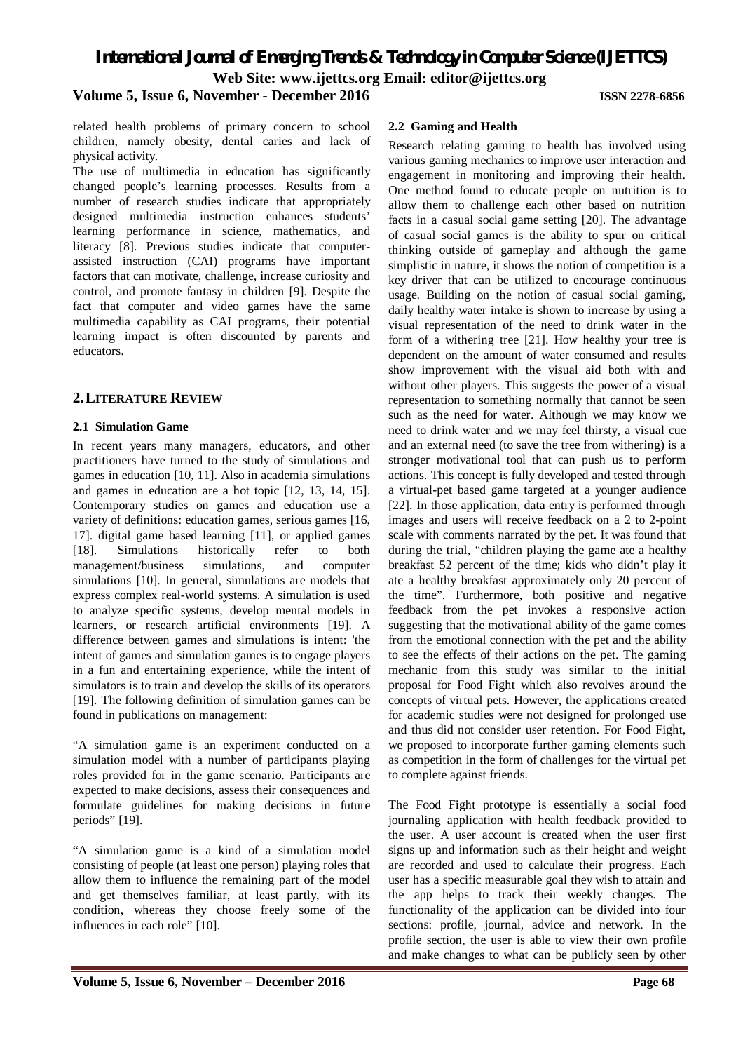*International Journal of Emerging Trends & Technology in Computer Science (IJETTCS)*

**Web Site: www.ijettcs.org Email: editor@ijettcs.org** 

# **Volume 5, Issue 6, November - December 2016 ISSN 2278-6856**

related health problems of primary concern to school children, namely obesity, dental caries and lack of physical activity.

The use of multimedia in education has significantly changed people's learning processes. Results from a number of research studies indicate that appropriately designed multimedia instruction enhances students' learning performance in science, mathematics, and literacy [8]. Previous studies indicate that computerassisted instruction (CAI) programs have important factors that can motivate, challenge, increase curiosity and control, and promote fantasy in children [9]. Despite the fact that computer and video games have the same multimedia capability as CAI programs, their potential learning impact is often discounted by parents and educators.

## **2.LITERATURE REVIEW**

### **2.1 Simulation Game**

In recent years many managers, educators, and other practitioners have turned to the study of simulations and games in education [10, 11]. Also in academia simulations and games in education are a hot topic [12, 13, 14, 15]. Contemporary studies on games and education use a variety of definitions: education games, serious games [16, 17]. digital game based learning [11], or applied games [18]. Simulations historically refer to both management/business simulations, and computer simulations [10]. In general, simulations are models that express complex real-world systems. A simulation is used to analyze specific systems, develop mental models in learners, or research artificial environments [19]. A difference between games and simulations is intent: 'the intent of games and simulation games is to engage players in a fun and entertaining experience, while the intent of simulators is to train and develop the skills of its operators [19]. The following definition of simulation games can be found in publications on management:

"A simulation game is an experiment conducted on a simulation model with a number of participants playing roles provided for in the game scenario. Participants are expected to make decisions, assess their consequences and formulate guidelines for making decisions in future periods" [19].

"A simulation game is a kind of a simulation model consisting of people (at least one person) playing roles that allow them to influence the remaining part of the model and get themselves familiar, at least partly, with its condition, whereas they choose freely some of the influences in each role" [10].

# **2.2 Gaming and Health**

Research relating gaming to health has involved using various gaming mechanics to improve user interaction and engagement in monitoring and improving their health. One method found to educate people on nutrition is to allow them to challenge each other based on nutrition facts in a casual social game setting [20]. The advantage of casual social games is the ability to spur on critical thinking outside of gameplay and although the game simplistic in nature, it shows the notion of competition is a key driver that can be utilized to encourage continuous usage. Building on the notion of casual social gaming, daily healthy water intake is shown to increase by using a visual representation of the need to drink water in the form of a withering tree [21]. How healthy your tree is dependent on the amount of water consumed and results show improvement with the visual aid both with and without other players. This suggests the power of a visual representation to something normally that cannot be seen such as the need for water. Although we may know we need to drink water and we may feel thirsty, a visual cue and an external need (to save the tree from withering) is a stronger motivational tool that can push us to perform actions. This concept is fully developed and tested through a virtual-pet based game targeted at a younger audience [22]. In those application, data entry is performed through images and users will receive feedback on a 2 to 2-point scale with comments narrated by the pet. It was found that during the trial, "children playing the game ate a healthy breakfast 52 percent of the time; kids who didn't play it ate a healthy breakfast approximately only 20 percent of the time". Furthermore, both positive and negative feedback from the pet invokes a responsive action suggesting that the motivational ability of the game comes from the emotional connection with the pet and the ability to see the effects of their actions on the pet. The gaming mechanic from this study was similar to the initial proposal for Food Fight which also revolves around the concepts of virtual pets. However, the applications created for academic studies were not designed for prolonged use and thus did not consider user retention. For Food Fight, we proposed to incorporate further gaming elements such as competition in the form of challenges for the virtual pet to complete against friends.

The Food Fight prototype is essentially a social food journaling application with health feedback provided to the user. A user account is created when the user first signs up and information such as their height and weight are recorded and used to calculate their progress. Each user has a specific measurable goal they wish to attain and the app helps to track their weekly changes. The functionality of the application can be divided into four sections: profile, journal, advice and network. In the profile section, the user is able to view their own profile and make changes to what can be publicly seen by other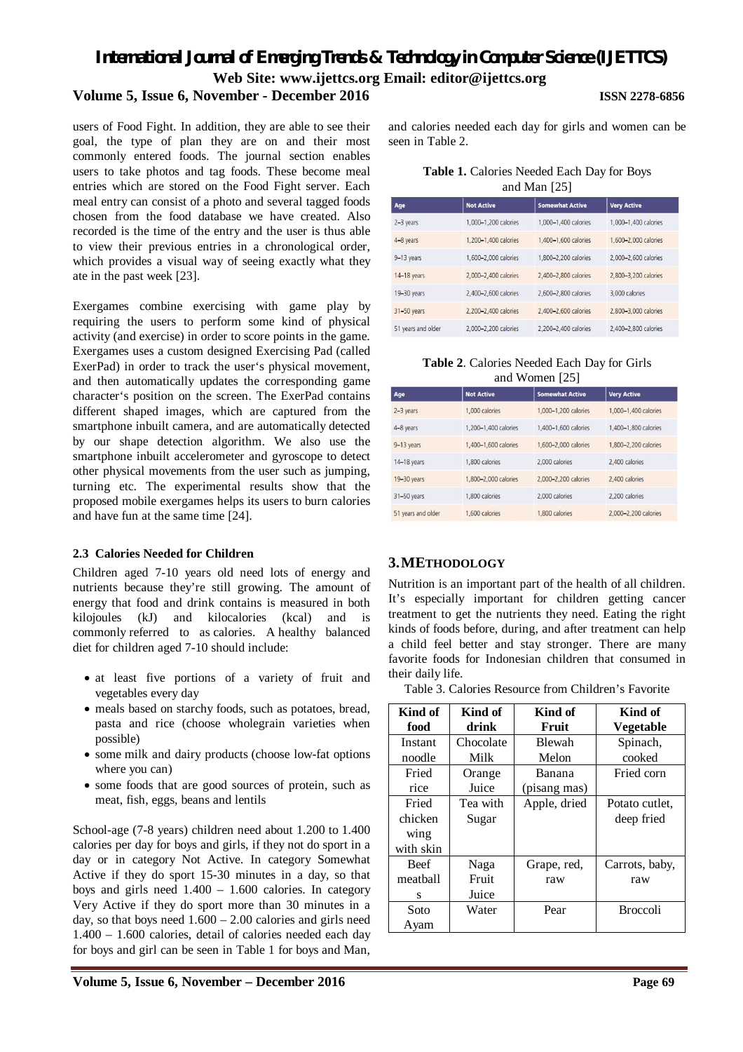# *International Journal of Emerging Trends & Technology in Computer Science (IJETTCS)* **Web Site: www.ijettcs.org Email: editor@ijettcs.org**

# **Volume 5, Issue 6, November - December 2016 ISSN 2278-6856**

users of Food Fight. In addition, they are able to see their goal, the type of plan they are on and their most commonly entered foods. The journal section enables users to take photos and tag foods. These become meal entries which are stored on the Food Fight server. Each meal entry can consist of a photo and several tagged foods chosen from the food database we have created. Also recorded is the time of the entry and the user is thus able to view their previous entries in a chronological order, which provides a visual way of seeing exactly what they ate in the past week [23].

Exergames combine exercising with game play by requiring the users to perform some kind of physical activity (and exercise) in order to score points in the game. Exergames uses a custom designed Exercising Pad (called ExerPad) in order to track the user's physical movement, and then automatically updates the corresponding game character's position on the screen. The ExerPad contains different shaped images, which are captured from the smartphone inbuilt camera, and are automatically detected by our shape detection algorithm. We also use the smartphone inbuilt accelerometer and gyroscope to detect other physical movements from the user such as jumping, turning etc. The experimental results show that the proposed mobile exergames helps its users to burn calories and have fun at the same time [24].

# **2.3 Calories Needed for Children**

Children aged 7-10 years old need lots of energy and nutrients because they're still growing. The amount of energy that food and drink contains is measured in both kilojoules (kJ) and kilocalories (kcal) and is commonly referred to as calories. A healthy balanced diet for children aged 7-10 should include:

- at least five portions of a variety of fruit and vegetables every day
- meals based on starchy foods, such as potatoes, bread, pasta and rice (choose wholegrain varieties when possible)
- some milk and dairy products (choose low-fat options where you can)
- some foods that are good sources of protein, such as meat, fish, eggs, beans and lentils

School-age (7-8 years) children need about 1.200 to 1.400 calories per day for boys and girls, if they not do sport in a day or in category Not Active. In category Somewhat Active if they do sport 15-30 minutes in a day, so that boys and girls need 1.400 – 1.600 calories. In category Very Active if they do sport more than 30 minutes in a day, so that boys need  $1.600 - 2.00$  calories and girls need 1.400 – 1.600 calories, detail of calories needed each day for boys and girl can be seen in Table 1 for boys and Man,

and calories needed each day for girls and women can be seen in Table 2.

| Table 1. Calories Needed Each Day for Boys |
|--------------------------------------------|
| and Man $[25]$                             |

| Age                | <b>Not Active</b>    | <b>Somewhat Active</b> | <b>Very Active</b>   |  |
|--------------------|----------------------|------------------------|----------------------|--|
| 2-3 years          | 1,000-1,200 calories | 1,000-1,400 calories   | 1.000-1.400 calories |  |
| 4-8 years          | 1.200-1.400 calories | 1,400-1,600 calories   | 1,600-2,000 calories |  |
| 9-13 years         | 1,600-2,000 calories | 1,800-2,200 calories   | 2,000-2,600 calories |  |
| 14-18 years        | 2.000-2.400 calories | 2.400-2.800 calories   | 2,800-3,200 calories |  |
| 19-30 years        | 2.400-2.600 calories | 2,600-2,800 calories   | 3,000 calories       |  |
| 31-50 years        | 2,200-2,400 calories | 2,400-2,600 calories   | 2,800-3,000 calories |  |
| 51 years and older | 2.000-2.200 calories | 2.200-2.400 calories   | 2,400-2,800 calories |  |
|                    |                      |                        |                      |  |

| Table 2. Calories Needed Each Day for Girls |
|---------------------------------------------|
| and Women [25]                              |

| Age                | <b>Not Active</b>    | <b>Somewhat Active</b> | <b>Very Active</b>   |
|--------------------|----------------------|------------------------|----------------------|
| 2-3 years          | 1,000 calories       | 1,000-1,200 calories   | 1,000-1,400 calories |
| 4-8 years          | 1.200-1.400 calories | 1.400-1.600 calories   | 1.400-1.800 calories |
| 9-13 years         | 1,400-1,600 calories | 1,600-2,000 calories   | 1,800-2,200 calories |
| 14-18 years        | 1,800 calories       | 2,000 calories         | 2,400 calories       |
| 19-30 years        | 1.800-2.000 calories | 2,000-2,200 calories   | 2.400 calories       |
| 31-50 years        | 1,800 calories       | 2,000 calories         | 2,200 calories       |
| 51 years and older | 1,600 calories       | 1,800 calories         | 2.000-2.200 calories |

# **3.METHODOLOGY**

Nutrition is an important part of the health of all children. It's especially important for children getting cancer treatment to get the nutrients they need. Eating the right kinds of foods before, during, and after treatment can help a child feel better and stay stronger. There are many favorite foods for Indonesian children that consumed in their daily life.

Table 3. Calories Resource from Children's Favorite

| Kind of     | Kind of   | Kind of       | Kind of          |
|-------------|-----------|---------------|------------------|
| food        | drink     | Fruit         | <b>Vegetable</b> |
| Instant     | Chocolate | <b>Blewah</b> | Spinach,         |
| noodle      | Milk      | Melon         | cooked           |
| Fried       | Orange    | Banana        | Fried corn       |
| rice        | Juice     | (pisang mas)  |                  |
| Fried       | Tea with  | Apple, dried  | Potato cutlet.   |
| chicken     | Sugar     |               | deep fried       |
| wing        |           |               |                  |
| with skin   |           |               |                  |
| <b>Beef</b> | Naga      | Grape, red,   | Carrots, baby,   |
| meathall    | Fruit     | raw           | raw              |
| S           | Juice     |               |                  |
| Soto        | Water     | Pear          | <b>Broccoli</b>  |
| Avam        |           |               |                  |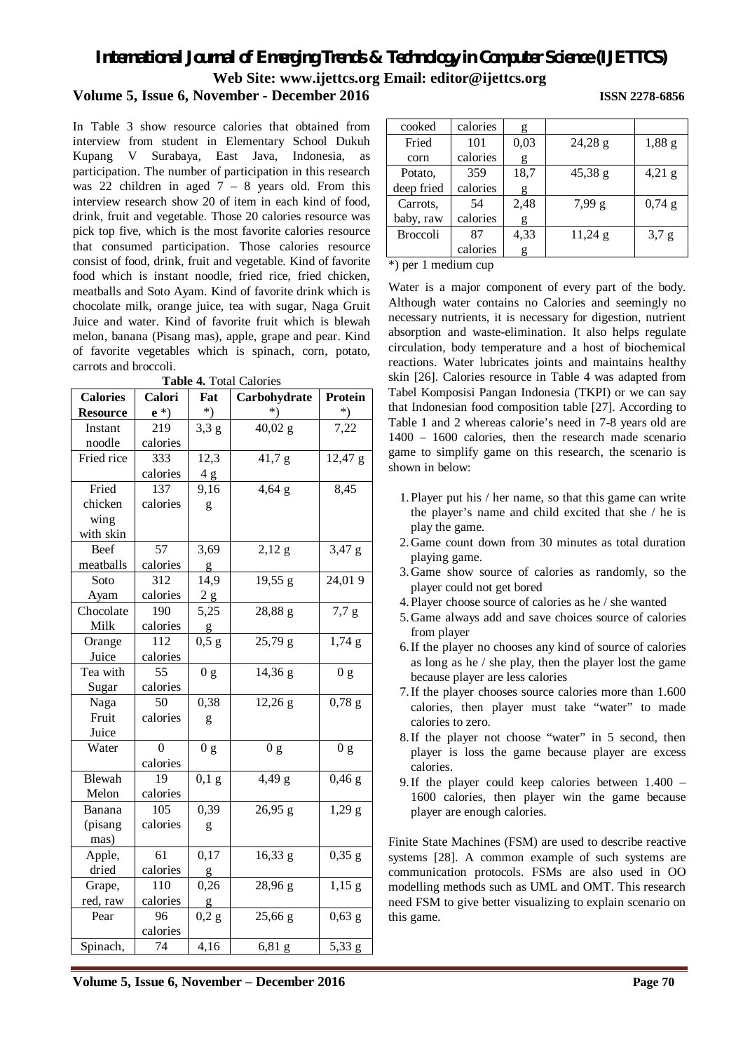# *International Journal of Emerging Trends & Technology in Computer Science (IJETTCS)*

**Web Site: www.ijettcs.org Email: editor@ijettcs.org** 

# **Volume 5, Issue 6, November - December 2016 ISSN 2278-6856**

In Table 3 show resource calories that obtained from interview from student in Elementary School Dukuh Kupang V Surabaya, East Java, Indonesia, as participation. The number of participation in this research was 22 children in aged  $7 - 8$  years old. From this interview research show 20 of item in each kind of food, drink, fruit and vegetable. Those 20 calories resource was pick top five, which is the most favorite calories resource that consumed participation. Those calories resource consist of food, drink, fruit and vegetable. Kind of favorite food which is instant noodle, fried rice, fried chicken, meatballs and Soto Ayam. Kind of favorite drink which is chocolate milk, orange juice, tea with sugar, Naga Gruit Juice and water. Kind of favorite fruit which is blewah melon, banana (Pisang mas), apple, grape and pear. Kind of favorite vegetables which is spinach, corn, potato, carrots and broccoli.

**Table 4.** Total Calories

| <b>Calories</b> | Calori   | Fat            | Carbohydrate   | Protein          |
|-----------------|----------|----------------|----------------|------------------|
| <b>Resource</b> | $e^*$    | $^*)$          |                | *)               |
| Instant         | 219      | 3,3 g          | 40,02 g        | 7,22             |
| noodle          | calories |                |                |                  |
| Fried rice      | 333      | 12,3           | 41,7 g         | $12,47$ g        |
|                 | calories | 4g             |                |                  |
| Fried           | 137      | 9,16           | $4,64$ g       | 8,45             |
| chicken         | calories | g              |                |                  |
| wing            |          |                |                |                  |
| with skin       |          |                |                |                  |
| Beef            | 57       | 3,69           | 2,12 g         | 3,47 g           |
| meatballs       | calories | g              |                |                  |
| Soto            | 312      | 14,9           | 19,55 g        | 24,019           |
| Ayam            | calories | 2g             |                |                  |
| Chocolate       | 190      | 5,25           | 28,88 g        | 7,7g             |
| Milk            | calories | g              |                |                  |
| Orange          | 112      | 0,5g           | 25,79g         | 1,74g            |
| Juice           | calories |                |                |                  |
| Tea with        | 55       | 0 g            | 14,36 g        | 0 <sub>g</sub>   |
| Sugar           | calories |                |                |                  |
| Naga            | 50       | 0,38           | $12,26$ g      | $0,78$ g         |
| Fruit           | calories | g              |                |                  |
| Juice           |          |                |                |                  |
| Water           | 0        | 0 <sub>g</sub> | 0 <sub>g</sub> | 0 <sub>g</sub>   |
|                 | calories |                |                |                  |
| Blewah          | 19       | $0,1$ g        | 4,49 g         | $0,46 \text{ g}$ |
| Melon           | calories |                |                |                  |
| Banana          | 105      | 0,39           | 26,95 g        | 1,29g            |
| (pisang         | calories | g              |                |                  |
| mas)            |          |                |                |                  |
| Apple,          | 61       | 0,17           | 16,33 g        | $0,35 \text{ g}$ |
| dried           | calories | g              |                |                  |
| Grape,          | 110      | 0,26           | 28,96 g        | $1,15$ g         |
| red, raw        | calories | g              |                |                  |
| Pear            | 96       | 0,2 g          | 25,66 g        | $0,63$ g         |
|                 | calories |                |                |                  |
| Spinach,        | 74       | 4,16           | $6,81$ g       | 5,33 g           |

| cooked          | calories | g    |           |          |
|-----------------|----------|------|-----------|----------|
| Fried           | 101      | 0,03 | 24,28g    | $1,88$ g |
| corn            | calories | g    |           |          |
| Potato.         | 359      | 18,7 | 45,38 g   | $4,21$ g |
| deep fried      | calories | g    |           |          |
| Carrots,        | 54       | 2.48 | 7,99 g    | $0,74$ g |
| baby, raw       | calories | g    |           |          |
| <b>Broccoli</b> | 87       | 4,33 | $11,24$ g | 3,7g     |
|                 | calories | g    |           |          |

\*) per 1 medium cup

Water is a major component of every part of the body. Although water contains no Calories and seemingly no necessary nutrients, it is necessary for digestion, nutrient absorption and waste-elimination. It also helps regulate circulation, body temperature and a host of biochemical reactions. Water lubricates joints and maintains healthy skin [26]. Calories resource in Table 4 was adapted from Tabel Komposisi Pangan Indonesia (TKPI) or we can say that Indonesian food composition table [27]. According to Table 1 and 2 whereas calorie's need in 7-8 years old are 1400 – 1600 calories, then the research made scenario game to simplify game on this research, the scenario is shown in below:

- 1.Player put his / her name, so that this game can write the player's name and child excited that she / he is play the game.
- 2.Game count down from 30 minutes as total duration playing game.
- 3.Game show source of calories as randomly, so the player could not get bored
- 4.Player choose source of calories as he / she wanted
- 5.Game always add and save choices source of calories from player
- 6.If the player no chooses any kind of source of calories as long as he / she play, then the player lost the game because player are less calories
- 7.If the player chooses source calories more than 1.600 calories, then player must take "water" to made calories to zero.
- 8.If the player not choose "water" in 5 second, then player is loss the game because player are excess calories.
- 9.If the player could keep calories between 1.400 1600 calories, then player win the game because player are enough calories.

Finite State Machines (FSM) are used to describe reactive systems [28]. A common example of such systems are communication protocols. FSMs are also used in OO modelling methods such as UML and OMT. This research need FSM to give better visualizing to explain scenario on this game.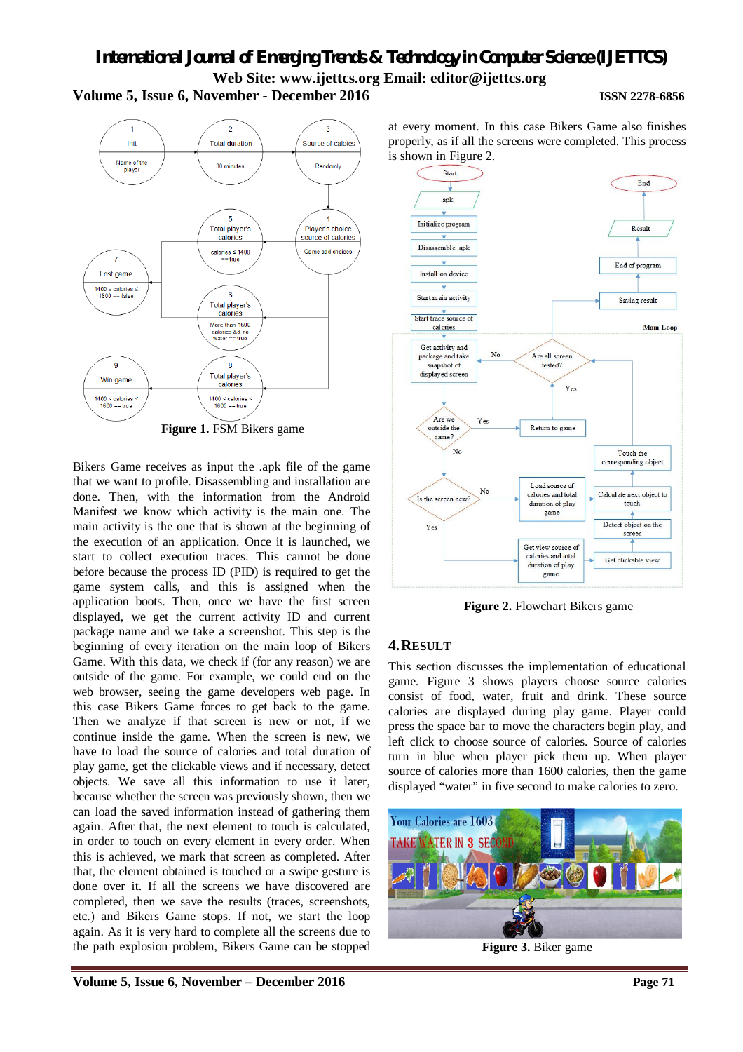# *International Journal of Emerging Trends & Technology in Computer Science (IJETTCS)* **Web Site: www.ijettcs.org Email: editor@ijettcs.org Volume 5, Issue 6, November - December 2016 ISSN 2278-6856**



**Figure 1.** FSM Bikers game

Bikers Game receives as input the .apk file of the game that we want to profile. Disassembling and installation are done. Then, with the information from the Android Manifest we know which activity is the main one. The main activity is the one that is shown at the beginning of the execution of an application. Once it is launched, we start to collect execution traces. This cannot be done before because the process ID (PID) is required to get the game system calls, and this is assigned when the application boots. Then, once we have the first screen displayed, we get the current activity ID and current package name and we take a screenshot. This step is the beginning of every iteration on the main loop of Bikers Game. With this data, we check if (for any reason) we are outside of the game. For example, we could end on the web browser, seeing the game developers web page. In this case Bikers Game forces to get back to the game. Then we analyze if that screen is new or not, if we continue inside the game. When the screen is new, we have to load the source of calories and total duration of play game, get the clickable views and if necessary, detect objects. We save all this information to use it later, because whether the screen was previously shown, then we can load the saved information instead of gathering them again. After that, the next element to touch is calculated, in order to touch on every element in every order. When this is achieved, we mark that screen as completed. After that, the element obtained is touched or a swipe gesture is done over it. If all the screens we have discovered are completed, then we save the results (traces, screenshots, etc.) and Bikers Game stops. If not, we start the loop again. As it is very hard to complete all the screens due to the path explosion problem, Bikers Game can be stopped



at every moment. In this case Bikers Game also finishes

**Figure 2.** Flowchart Bikers game

# **4.RESULT**

This section discusses the implementation of educational game. Figure 3 shows players choose source calories consist of food, water, fruit and drink. These source calories are displayed during play game. Player could press the space bar to move the characters begin play, and left click to choose source of calories. Source of calories turn in blue when player pick them up. When player source of calories more than 1600 calories, then the game displayed "water" in five second to make calories to zero.



**Figure 3.** Biker game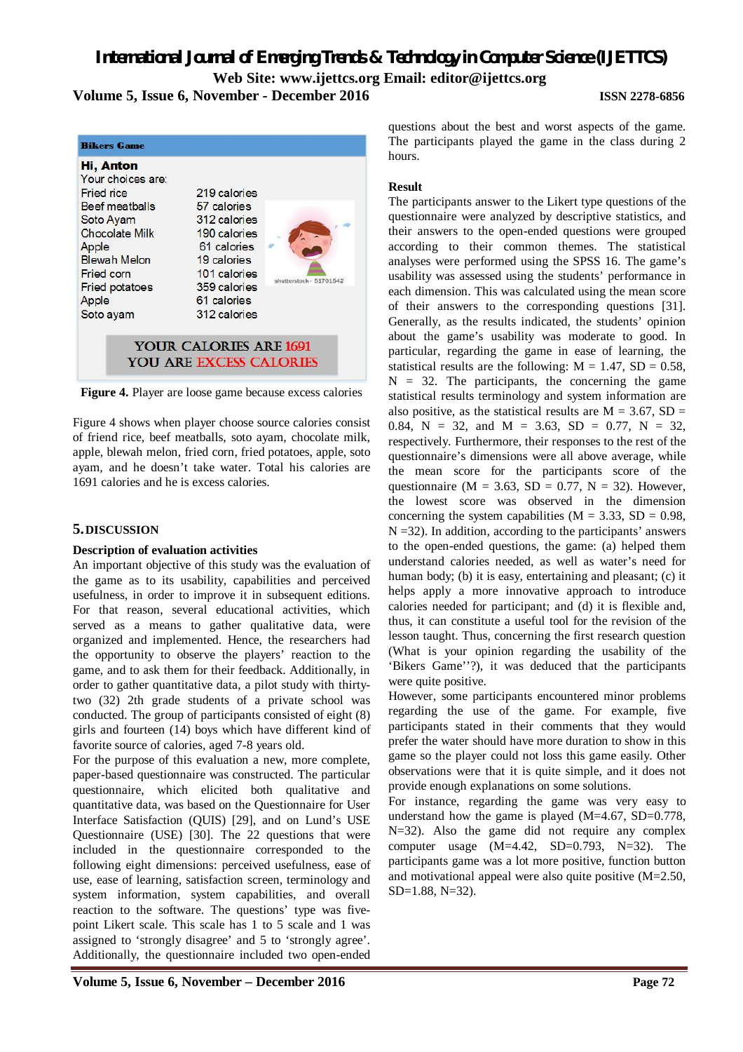*International Journal of Emerging Trends & Technology in Computer Science (IJETTCS)* **Web Site: www.ijettcs.org Email: editor@ijettcs.org Volume 5, Issue 6, November - December 2016 ISSN 2278-6856**



**Figure 4.** Player are loose game because excess calories

Figure 4 shows when player choose source calories consist of friend rice, beef meatballs, soto ayam, chocolate milk, apple, blewah melon, fried corn, fried potatoes, apple, soto ayam, and he doesn't take water. Total his calories are 1691 calories and he is excess calories.

# **5.DISCUSSION**

### **Description of evaluation activities**

An important objective of this study was the evaluation of the game as to its usability, capabilities and perceived usefulness, in order to improve it in subsequent editions. For that reason, several educational activities, which served as a means to gather qualitative data, were organized and implemented. Hence, the researchers had the opportunity to observe the players' reaction to the game, and to ask them for their feedback. Additionally, in order to gather quantitative data, a pilot study with thirtytwo (32) 2th grade students of a private school was conducted. The group of participants consisted of eight (8) girls and fourteen (14) boys which have different kind of favorite source of calories, aged 7-8 years old.

For the purpose of this evaluation a new, more complete, paper-based questionnaire was constructed. The particular questionnaire, which elicited both qualitative and quantitative data, was based on the Questionnaire for User Interface Satisfaction (QUIS) [29], and on Lund's USE Questionnaire (USE) [30]. The 22 questions that were included in the questionnaire corresponded to the following eight dimensions: perceived usefulness, ease of use, ease of learning, satisfaction screen, terminology and system information, system capabilities, and overall reaction to the software. The questions' type was fivepoint Likert scale. This scale has 1 to 5 scale and 1 was assigned to 'strongly disagree' and 5 to 'strongly agree'. Additionally, the questionnaire included two open-ended

questions about the best and worst aspects of the game. The participants played the game in the class during 2 hours.

## **Result**

The participants answer to the Likert type questions of the questionnaire were analyzed by descriptive statistics, and their answers to the open-ended questions were grouped according to their common themes. The statistical analyses were performed using the SPSS 16. The game's usability was assessed using the students' performance in each dimension. This was calculated using the mean score of their answers to the corresponding questions [31]. Generally, as the results indicated, the students' opinion about the game's usability was moderate to good. In particular, regarding the game in ease of learning, the statistical results are the following:  $M = 1.47$ ,  $SD = 0.58$ ,  $N = 32$ . The participants, the concerning the game statistical results terminology and system information are also positive, as the statistical results are  $M = 3.67$ ,  $SD =$ 0.84,  $N = 32$ , and  $M = 3.63$ ,  $SD = 0.77$ ,  $N = 32$ , respectively. Furthermore, their responses to the rest of the questionnaire's dimensions were all above average, while the mean score for the participants score of the questionnaire ( $M = 3.63$ ,  $SD = 0.77$ ,  $N = 32$ ). However, the lowest score was observed in the dimension concerning the system capabilities ( $M = 3.33$ ,  $SD = 0.98$ ,  $N = 32$ ). In addition, according to the participants' answers to the open-ended questions, the game: (a) helped them understand calories needed, as well as water's need for human body; (b) it is easy, entertaining and pleasant; (c) it helps apply a more innovative approach to introduce calories needed for participant; and (d) it is flexible and, thus, it can constitute a useful tool for the revision of the lesson taught. Thus, concerning the first research question (What is your opinion regarding the usability of the 'Bikers Game''?), it was deduced that the participants were quite positive.

However, some participants encountered minor problems regarding the use of the game. For example, five participants stated in their comments that they would prefer the water should have more duration to show in this game so the player could not loss this game easily. Other observations were that it is quite simple, and it does not provide enough explanations on some solutions.

For instance, regarding the game was very easy to understand how the game is played (M=4.67, SD=0.778, N=32). Also the game did not require any complex computer usage  $(M=4.42, SD=0.793, N=32)$ . The participants game was a lot more positive, function button and motivational appeal were also quite positive (M=2.50, SD=1.88, N=32).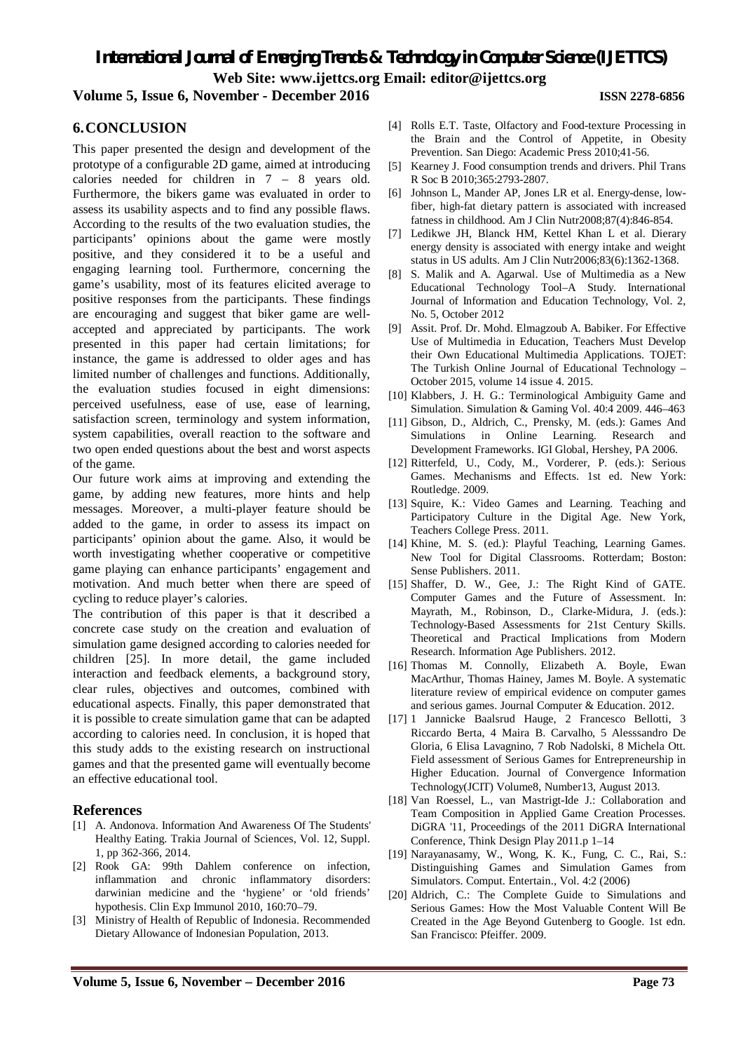*International Journal of Emerging Trends & Technology in Computer Science (IJETTCS)* **Web Site: www.ijettcs.org Email: editor@ijettcs.org** 

# **Volume 5, Issue 6, November - December 2016 ISSN 2278-6856**

# **6.CONCLUSION**

This paper presented the design and development of the prototype of a configurable 2D game, aimed at introducing calories needed for children in 7 – 8 years old. Furthermore, the bikers game was evaluated in order to assess its usability aspects and to find any possible flaws. According to the results of the two evaluation studies, the participants' opinions about the game were mostly positive, and they considered it to be a useful and engaging learning tool. Furthermore, concerning the game's usability, most of its features elicited average to positive responses from the participants. These findings are encouraging and suggest that biker game are wellaccepted and appreciated by participants. The work presented in this paper had certain limitations; for instance, the game is addressed to older ages and has limited number of challenges and functions. Additionally, the evaluation studies focused in eight dimensions: perceived usefulness, ease of use, ease of learning, satisfaction screen, terminology and system information, system capabilities, overall reaction to the software and two open ended questions about the best and worst aspects of the game.

Our future work aims at improving and extending the game, by adding new features, more hints and help messages. Moreover, a multi-player feature should be added to the game, in order to assess its impact on participants' opinion about the game. Also, it would be worth investigating whether cooperative or competitive game playing can enhance participants' engagement and motivation. And much better when there are speed of cycling to reduce player's calories.

The contribution of this paper is that it described a concrete case study on the creation and evaluation of simulation game designed according to calories needed for children [25]. In more detail, the game included interaction and feedback elements, a background story, clear rules, objectives and outcomes, combined with educational aspects. Finally, this paper demonstrated that it is possible to create simulation game that can be adapted according to calories need. In conclusion, it is hoped that this study adds to the existing research on instructional games and that the presented game will eventually become an effective educational tool.

# **References**

- [1] A. Andonova. Information And Awareness Of The Students' Healthy Eating. Trakia Journal of Sciences, Vol. 12, Suppl. 1, pp 362-366, 2014.
- [2] Rook GA: 99th Dahlem conference on infection, inflammation and chronic inflammatory disorders: darwinian medicine and the 'hygiene' or 'old friends' hypothesis. Clin Exp Immunol 2010, 160:70–79.
- [3] Ministry of Health of Republic of Indonesia. Recommended Dietary Allowance of Indonesian Population, 2013.
- [4] Rolls E.T. Taste, Olfactory and Food-texture Processing in the Brain and the Control of Appetite, in Obesity Prevention. San Diego: Academic Press 2010;41-56.
- [5] Kearney J. Food consumption trends and drivers. Phil Trans R Soc B 2010;365:2793-2807.
- [6] Johnson L, Mander AP, Jones LR et al. Energy-dense, lowfiber, high-fat dietary pattern is associated with increased fatness in childhood. Am J Clin Nutr2008;87(4):846-854.
- [7] Ledikwe JH, Blanck HM, Kettel Khan L et al. Dierary energy density is associated with energy intake and weight status in US adults. Am J Clin Nutr2006;83(6):1362-1368.
- [8] S. Malik and A. Agarwal. Use of Multimedia as a New Educational Technology Tool–A Study. International Journal of Information and Education Technology, Vol. 2, No. 5, October 2012
- [9] Assit. Prof. Dr. Mohd. Elmagzoub A. Babiker. For Effective Use of Multimedia in Education, Teachers Must Develop their Own Educational Multimedia Applications. TOJET: The Turkish Online Journal of Educational Technology – October 2015, volume 14 issue 4. 2015.
- [10] Klabbers, J. H. G.: Terminological Ambiguity Game and Simulation. Simulation & Gaming Vol. 40:4 2009. 446–463
- [11] Gibson, D., Aldrich, C., Prensky, M. (eds.): Games And Simulations in Online Learning. Research and Development Frameworks. IGI Global, Hershey, PA 2006.
- [12] Ritterfeld, U., Cody, M., Vorderer, P. (eds.): Serious Games. Mechanisms and Effects. 1st ed. New York: Routledge. 2009.
- [13] Squire, K.: Video Games and Learning. Teaching and Participatory Culture in the Digital Age. New York, Teachers College Press. 2011.
- [14] Khine, M. S. (ed.): Playful Teaching, Learning Games. New Tool for Digital Classrooms. Rotterdam; Boston: Sense Publishers. 2011.
- [15] Shaffer, D. W., Gee, J.: The Right Kind of GATE. Computer Games and the Future of Assessment. In: Mayrath, M., Robinson, D., Clarke-Midura, J. (eds.): Technology-Based Assessments for 21st Century Skills. Theoretical and Practical Implications from Modern Research. Information Age Publishers. 2012.
- [16] Thomas M. Connolly, Elizabeth A. Boyle, Ewan MacArthur, Thomas Hainey, James M. Boyle. A systematic literature review of empirical evidence on computer games and serious games. Journal Computer & Education. 2012.
- [17] 1 Jannicke Baalsrud Hauge, 2 Francesco Bellotti, 3 Riccardo Berta, 4 Maira B. Carvalho, 5 Alesssandro De Gloria, 6 Elisa Lavagnino, 7 Rob Nadolski, 8 Michela Ott. Field assessment of Serious Games for Entrepreneurship in Higher Education. Journal of Convergence Information Technology(JCIT) Volume8, Number13, August 2013.
- [18] Van Roessel, L., van Mastrigt-Ide J.: Collaboration and Team Composition in Applied Game Creation Processes. DiGRA '11, Proceedings of the 2011 DiGRA International Conference, Think Design Play 2011.p 1–14
- [19] Narayanasamy, W., Wong, K. K., Fung, C. C., Rai, S.: Distinguishing Games and Simulation Games from Simulators. Comput. Entertain., Vol. 4:2 (2006)
- [20] Aldrich, C.: The Complete Guide to Simulations and Serious Games: How the Most Valuable Content Will Be Created in the Age Beyond Gutenberg to Google. 1st edn. San Francisco: Pfeiffer. 2009.